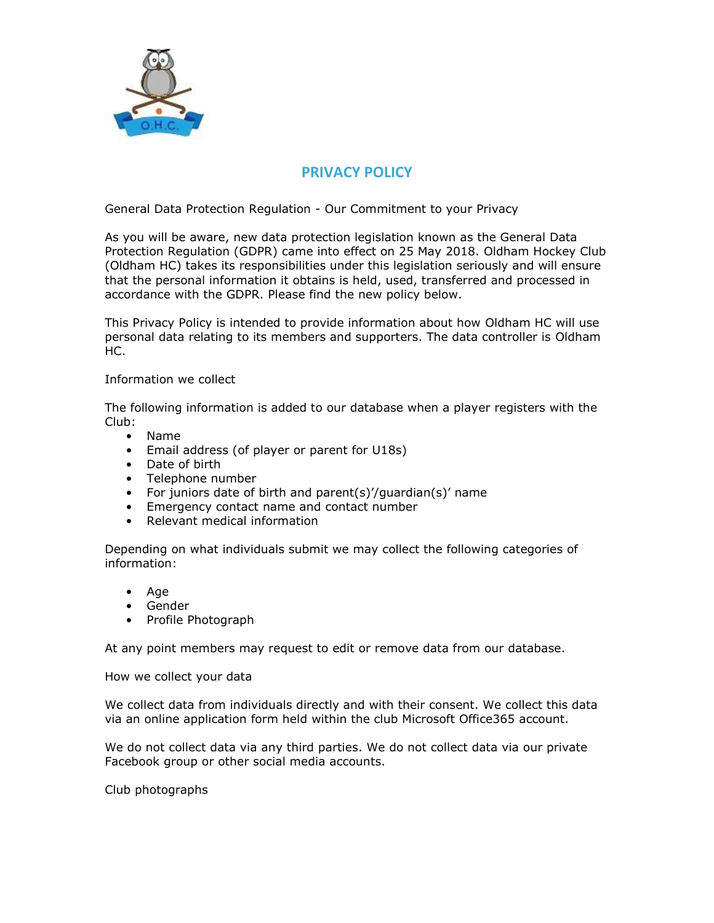

## **PRIVACY POLICY**

General Data Protection Regulation - Our Commitment to your Privacy

As you will be aware, new data protection legislation known as the General Data Protection Regulation (GDPR) came into effect on 25 May 2018. Oldham Hockey Club (Oldham HC) takes its responsibilities under this legislation seriously and will ensure that the personal information it obtains is held, used, transferred and processed in accordance with the GDPR. Please find the new policy below.

This Privacy Policy is intended to provide information about how Oldham HC will use personal data relating to its members and supporters. The data controller is Oldham HC.

Information we collect

The following information is added to our database when a player registers with the Club:

- Name
- Email address (of player or parent for U18s)
- Date of birth
- Telephone number
- For juniors date of birth and parent(s)'/guardian(s)' name
- Emergency contact name and contact number
- Relevant medical information

Depending on what individuals submit we may collect the following categories of information:

- Age
- Gender
- Profile Photograph

At any point members may request to edit or remove data from our database.

How we collect your data

We collect data from individuals directly and with their consent. We collect this data via an online application form held within the club Microsoft Office365 account.

We do not collect data via any third parties. We do not collect data via our private Facebook group or other social media accounts.

Club photographs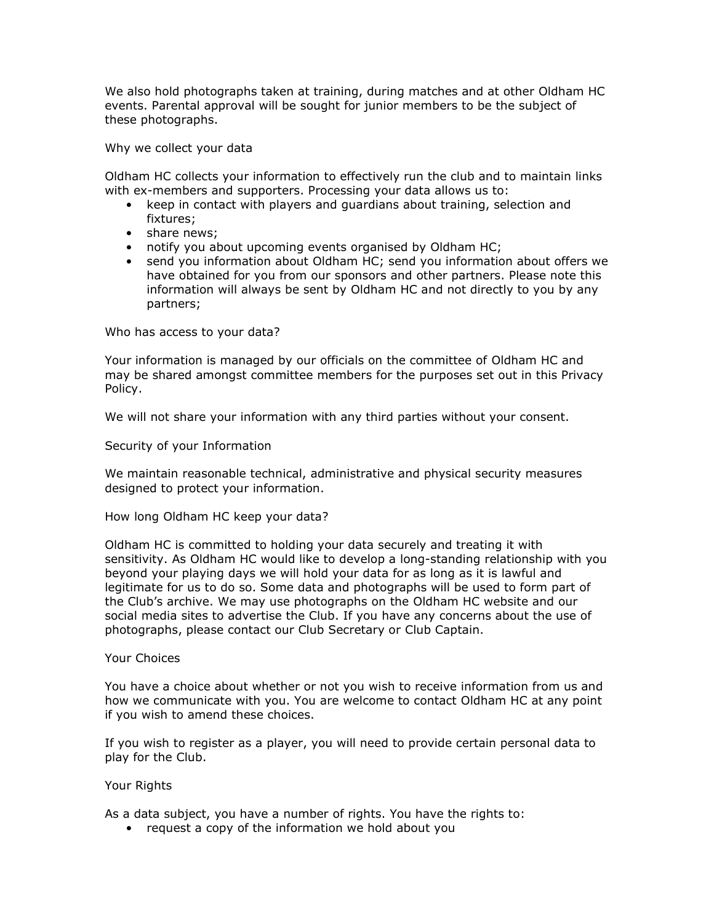We also hold photographs taken at training, during matches and at other Oldham HC events. Parental approval will be sought for junior members to be the subject of these photographs.

Why we collect your data

Oldham HC collects your information to effectively run the club and to maintain links with ex-members and supporters. Processing your data allows us to:

- keep in contact with players and guardians about training, selection and fixtures;
- share news;
- notify you about upcoming events organised by Oldham HC;
- send you information about Oldham HC; send you information about offers we have obtained for you from our sponsors and other partners. Please note this information will always be sent by Oldham HC and not directly to you by any partners;

Who has access to your data?

Your information is managed by our officials on the committee of Oldham HC and may be shared amongst committee members for the purposes set out in this Privacy Policy.

We will not share your information with any third parties without your consent.

Security of your Information

We maintain reasonable technical, administrative and physical security measures designed to protect your information.

How long Oldham HC keep your data?

Oldham HC is committed to holding your data securely and treating it with sensitivity. As Oldham HC would like to develop a long-standing relationship with you beyond your playing days we will hold your data for as long as it is lawful and legitimate for us to do so. Some data and photographs will be used to form part of the Club's archive. We may use photographs on the Oldham HC website and our social media sites to advertise the Club. If you have any concerns about the use of photographs, please contact our Club Secretary or Club Captain.

## Your Choices

You have a choice about whether or not you wish to receive information from us and how we communicate with you. You are welcome to contact Oldham HC at any point if you wish to amend these choices.

If you wish to register as a player, you will need to provide certain personal data to play for the Club.

## Your Rights

As a data subject, you have a number of rights. You have the rights to:

• request a copy of the information we hold about you